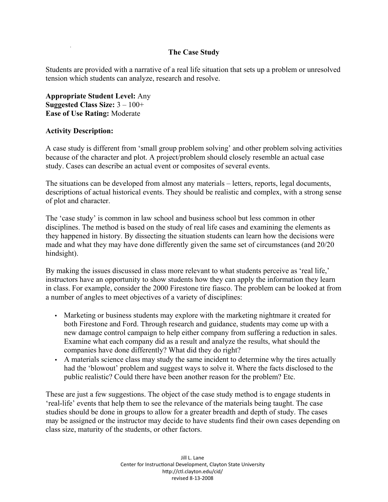## **The Case Study**

Students are provided with a narrative of a real life situation that sets up a problem or unresolved tension which students can analyze, research and resolve.

**Appropriate Student Level:** Any **Suggested Class Size:** 3 – 100+ **Ease of Use Rating:** Moderate

## **Activity Description:**

A case study is different from 'small group problem solving' and other problem solving activities because of the character and plot. A project/problem should closely resemble an actual case study. Cases can describe an actual event or composites of several events.

The situations can be developed from almost any materials – letters, reports, legal documents, descriptions of actual historical events. They should be realistic and complex, with a strong sense of plot and character.

The 'case study' is common in law school and business school but less common in other disciplines. The method is based on the study of real life cases and examining the elements as they happened in history. By dissecting the situation students can learn how the decisions were made and what they may have done differently given the same set of circumstances (and 20/20 hindsight).

By making the issues discussed in class more relevant to what students perceive as 'real life,' instructors have an opportunity to show students how they can apply the information they learn in class. For example, consider the 2000 Firestone tire fiasco. The problem can be looked at from a number of angles to meet objectives of a variety of disciplines:

- Marketing or business students may explore with the marketing nightmare it created for both Firestone and Ford. Through research and guidance, students may come up with a new damage control campaign to help either company from suffering a reduction in sales. Examine what each company did as a result and analyze the results, what should the companies have done differently? What did they do right?
- A materials science class may study the same incident to determine why the tires actually had the 'blowout' problem and suggest ways to solve it. Where the facts disclosed to the public realistic? Could there have been another reason for the problem? Etc.

These are just a few suggestions. The object of the case study method is to engage students in 'real-life' events that help them to see the relevance of the materials being taught. The case studies should be done in groups to allow for a greater breadth and depth of study. The cases may be assigned or the instructor may decide to have students find their own cases depending on class size, maturity of the students, or other factors.